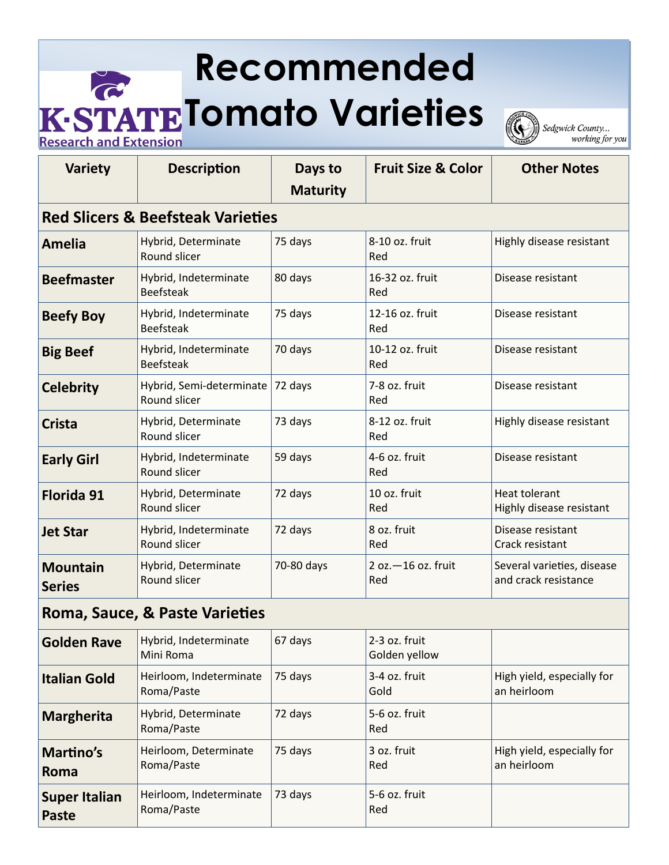## **Recommended The STATE Tomato Varieties Research and Extension**

Sedgwick County... working for you

| <b>Variety</b>                               | <b>Description</b>                        | Days to<br><b>Maturity</b> | <b>Fruit Size &amp; Color</b>  | <b>Other Notes</b>                                 |  |  |  |
|----------------------------------------------|-------------------------------------------|----------------------------|--------------------------------|----------------------------------------------------|--|--|--|
| <b>Red Slicers &amp; Beefsteak Varieties</b> |                                           |                            |                                |                                                    |  |  |  |
| <b>Amelia</b>                                | Hybrid, Determinate<br>Round slicer       | 75 days                    | 8-10 oz. fruit<br>Red          | Highly disease resistant                           |  |  |  |
| <b>Beefmaster</b>                            | Hybrid, Indeterminate<br><b>Beefsteak</b> | 80 days                    | 16-32 oz. fruit<br>Red         | Disease resistant                                  |  |  |  |
| <b>Beefy Boy</b>                             | Hybrid, Indeterminate<br><b>Beefsteak</b> | 75 days                    | 12-16 oz. fruit<br>Red         | Disease resistant                                  |  |  |  |
| <b>Big Beef</b>                              | Hybrid, Indeterminate<br><b>Beefsteak</b> | 70 days                    | 10-12 oz. fruit<br>Red         | Disease resistant                                  |  |  |  |
| <b>Celebrity</b>                             | Hybrid, Semi-determinate<br>Round slicer  | 72 days                    | 7-8 oz. fruit<br>Red           | Disease resistant                                  |  |  |  |
| <b>Crista</b>                                | Hybrid, Determinate<br>Round slicer       | 73 days                    | 8-12 oz. fruit<br>Red          | Highly disease resistant                           |  |  |  |
| <b>Early Girl</b>                            | Hybrid, Indeterminate<br>Round slicer     | 59 days                    | 4-6 oz. fruit<br>Red           | Disease resistant                                  |  |  |  |
| Florida 91                                   | Hybrid, Determinate<br>Round slicer       | 72 days                    | 10 oz. fruit<br>Red            | Heat tolerant<br>Highly disease resistant          |  |  |  |
| <b>Jet Star</b>                              | Hybrid, Indeterminate<br>Round slicer     | 72 days                    | 8 oz. fruit<br>Red             | Disease resistant<br>Crack resistant               |  |  |  |
| <b>Mountain</b><br><b>Series</b>             | Hybrid, Determinate<br>Round slicer       | 70-80 days                 | $2$ oz. $-16$ oz. fruit<br>Red | Several varieties, disease<br>and crack resistance |  |  |  |
| Roma, Sauce, & Paste Varieties               |                                           |                            |                                |                                                    |  |  |  |
| <b>Golden Rave</b>                           | Hybrid, Indeterminate<br>Mini Roma        | 67 days                    | 2-3 oz. fruit<br>Golden yellow |                                                    |  |  |  |
| <b>Italian Gold</b>                          | Heirloom, Indeterminate<br>Roma/Paste     | 75 days                    | 3-4 oz. fruit<br>Gold          | High yield, especially for<br>an heirloom          |  |  |  |
| <b>Margherita</b>                            | Hybrid, Determinate<br>Roma/Paste         | 72 days                    | 5-6 oz. fruit<br>Red           |                                                    |  |  |  |
| Martino's<br>Roma                            | Heirloom, Determinate<br>Roma/Paste       | 75 days                    | 3 oz. fruit<br>Red             | High yield, especially for<br>an heirloom          |  |  |  |
| <b>Super Italian</b><br><b>Paste</b>         | Heirloom, Indeterminate<br>Roma/Paste     | 73 days                    | 5-6 oz. fruit<br>Red           |                                                    |  |  |  |